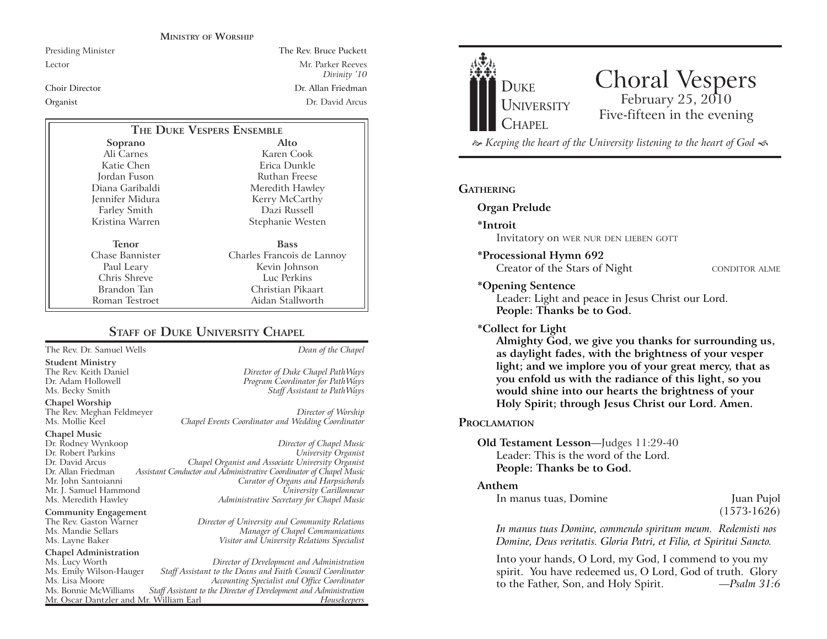#### **MINISTRY OF WORSHIP**

Presiding Minister The Rev. Bruce Puckett Lector Mr. Parker Reeves *Divinity '10* Choir Director Dr. Allan FriedmanOrganist Dr. David Arcus

| THE DUKE VESPERS ENSEMBLE |                            |
|---------------------------|----------------------------|
| Soprano                   | Alto                       |
| Ali Carnes                | Karen Cook                 |
| Katie Chen                | Erica Dunkle               |
| Jordan Fuson              | Ruthan Freese              |
| Diana Garibaldi           | Meredith Hawley            |
| Jennifer Midura           | Kerry McCarthy             |
| Farley Smith              | Dazi Russell               |
| Kristina Warren           | Stephanie Westen           |
| Tenor                     | <b>Bass</b>                |
| Chase Bannister           | Charles Francois de Lannoy |
| Paul Leary                | Kevin Johnson              |
| Chris Shreve              | Luc Perkins                |
| Brandon Tan               | Christian Pikaart          |
| Roman Testroet            | Aidan Stallworth           |

### **STAFF OF DUKE UNIVERSITY CHAPEL**

The Rev. Dr. Samuel Wells *Dean of the Chapel*

**Student Ministry**

The Rev. Meghan Feldmeyer *Director of Worship*

#### **Chapel Music**

**Chapel Worship**

Mr. J. Samuel Hammond

**Community Engagement**<br>The Rev. Gaston Warner

## **Chapel Administration**

Mr. Oscar Dantzler and Mr. William Earl

The Rev. Keith Daniel *Director of Duke Chapel PathWays* Program Coordinator for PathWays Ms. Becky Smith *Staff Assistant to PathWays*

Chapel Events Coordinator and Wedding Coordinator

Dr. Rodney Wynkoop *Director of Chapel Music* Dr. Robert Parkins *University Organist* Dr. David Arcus *Chapel Organist and Associate University Organist* Dr. Allan Friedman *Assistant Conductor and Administrative Coordinator of Chapel Music* Mr. John Santoianni *Curator of Organs and Harpsichords* Ms. Meredith Hawley *Administrative Secretary for Chapel Music*

The Rev. Gaston Warner *Director of University and Community Relations* Ms. Mandie Sellars *Manager of Chapel Communications* Ms. Layne Baker *Visitor and University Relations Specialist*

Ms. Lucy Worth *Director of Development and Administration* Ms. Emily Wilson-Hauger *Staff Assistant to the Deans and Faith Council Coordinator* Ms. Lisa Moore *Accounting Specialist and Office Coordinator* Staff Assistant to the Director of Development and Administration<br>Fassistant Director of Development and *Housekeepers* 



# Choral Vespers<br>February 25, 2010 Five-fifteen in the evening

 *Keeping the heart of the University listening to the heart of God* 

#### **GATHERING**

#### **Organ Prelude**

**\*Introit** 

Invitatory on WER NUR DEN LIEBEN GOTT

**\*Processional Hymn 692**

Creator of the Stars of Night CONDITOR ALME

#### **\*Opening Sentence**

Leader: Light and peace in Jesus Christ our Lord. **People: Thanks be to God.**

#### **\*Collect for Light**

**Almighty God, we give you thanks for surrounding us, as daylight fades, with the brightness of your vesper light; and we implore you of your great mercy, that as you enfold us with the radiance of this light, so you would shine into our hearts the brightness of your Holy Spirit; through Jesus Christ our Lord. Amen.** 

#### **PROCLAMATION**

#### **Old Testament Lesson**—Judges 11:29-40 Leader: This is the word of the Lord.**People: Thanks be to God.**

#### **Anthem**

| In manus tuas, Domine | Juan Pujol    |
|-----------------------|---------------|
|                       | $(1573-1626)$ |

*In manus tuas Domine, commendo spiritum meum. Redemisti nos Domine, Deus veritatis. Gloria Patri, et Filio, et Spiritui Sancto.*

Into your hands, O Lord, my God, I commend to you my spirit. You have redeemed us, O Lord, God of truth. Glory to the Father, Son, and Holy Spirit. *—Psalm 31:6*